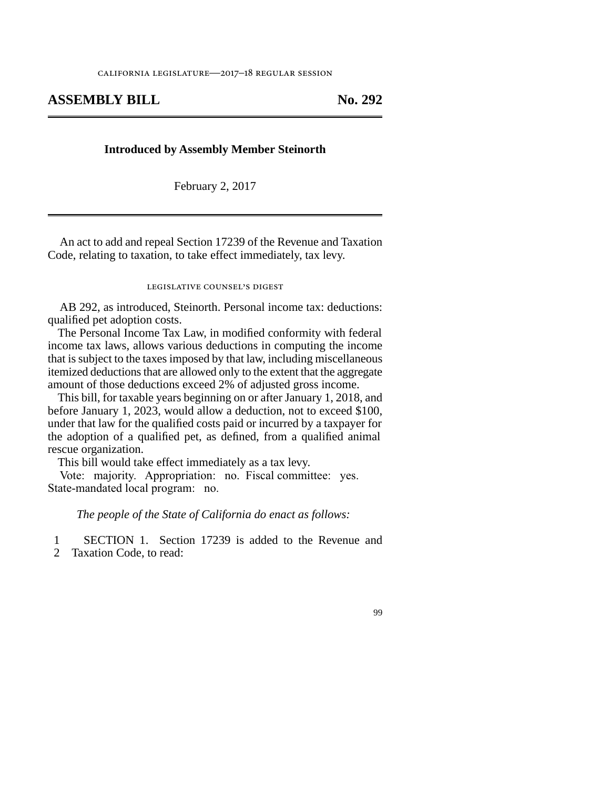## **ASSEMBLY BILL No. 292**

## **Introduced by Assembly Member Steinorth**

February 2, 2017

An act to add and repeal Section 17239 of the Revenue and Taxation Code, relating to taxation, to take effect immediately, tax levy.

## legislative counsel's digest

AB 292, as introduced, Steinorth. Personal income tax: deductions: qualified pet adoption costs.

The Personal Income Tax Law, in modified conformity with federal income tax laws, allows various deductions in computing the income that is subject to the taxes imposed by that law, including miscellaneous itemized deductions that are allowed only to the extent that the aggregate amount of those deductions exceed 2% of adjusted gross income.

This bill, for taxable years beginning on or after January 1, 2018, and before January 1, 2023, would allow a deduction, not to exceed \$100, under that law for the qualified costs paid or incurred by a taxpayer for the adoption of a qualified pet, as defined, from a qualified animal rescue organization.

This bill would take effect immediately as a tax levy.

Vote: majority. Appropriation: no. Fiscal committee: yes. State-mandated local program: no.

*The people of the State of California do enact as follows:*

1 SECTION 1. Section 17239 is added to the Revenue and

2 Taxation Code, to read:

99